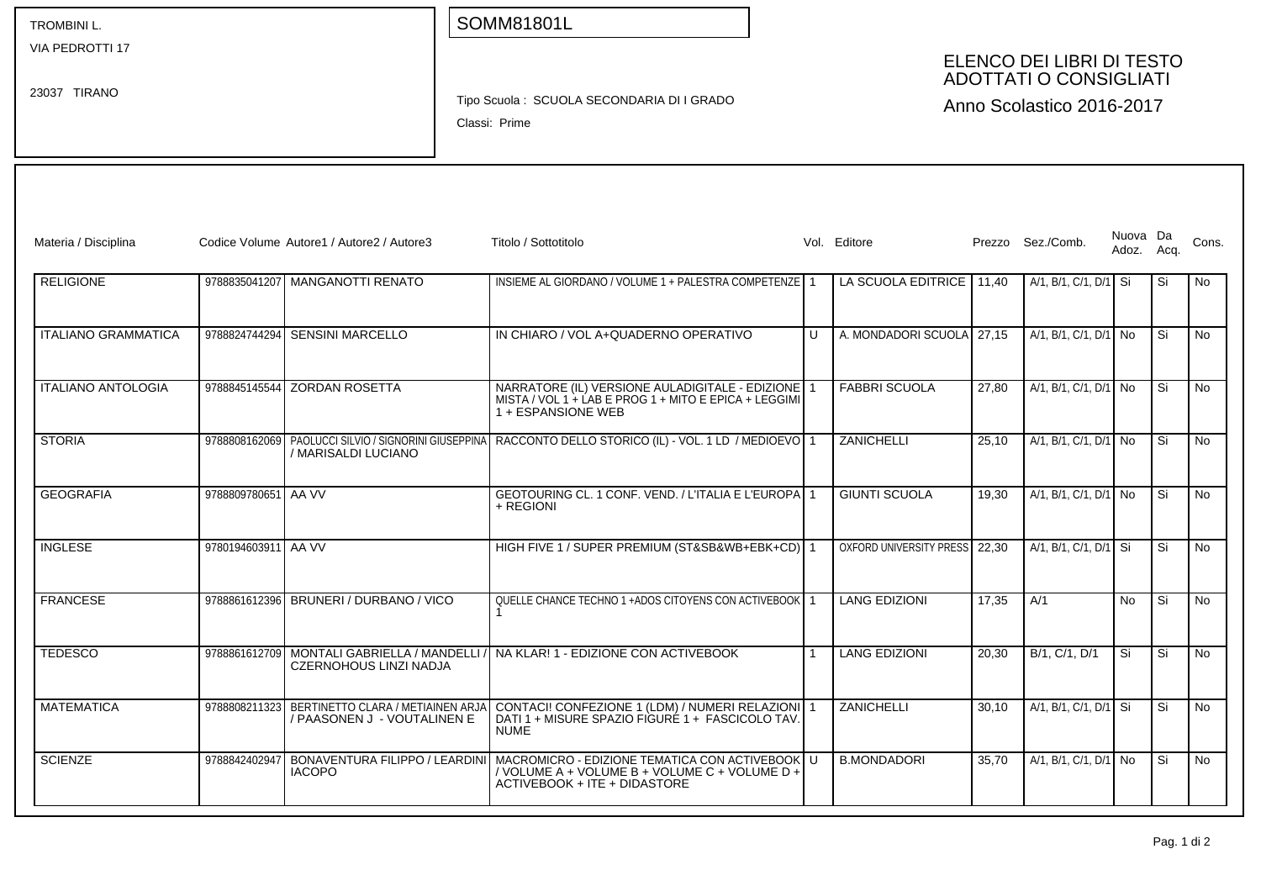VIA PEDROTTI 17

23037 TIRANO

## SOMM81801L

## ELENCO DEI LIBRI DI TESTO ADOTTATI O CONSIGLIATI

Tipo Scuola : SCUOLA SECONDARIA DI I GRADO

Classi: Prime

Anno Scolastico 2016-2017

| Materia / Disciplina       |                     | Codice Volume Autore1 / Autore2 / Autore3                                   | Titolo / Sottotitolo                                                                                                                                                |              | Vol. Editore                  |       | Prezzo Sez./Comb.       | Nuova Da<br>Adoz. Acq. |     | Cons.     |
|----------------------------|---------------------|-----------------------------------------------------------------------------|---------------------------------------------------------------------------------------------------------------------------------------------------------------------|--------------|-------------------------------|-------|-------------------------|------------------------|-----|-----------|
| <b>RELIGIONE</b>           |                     | 9788835041207 MANGANOTTI RENATO                                             | INSIEME AL GIORDANO / VOLUME 1 + PALESTRA COMPETENZE 1                                                                                                              |              | LA SCUOLA EDITRICE            | 11.40 | A/1, B/1, C/1, D/1 Si   |                        | Si  | <b>No</b> |
| <b>ITALIANO GRAMMATICA</b> |                     | 9788824744294 SENSINI MARCELLO                                              | IN CHIARO / VOL A+QUADERNO OPERATIVO                                                                                                                                | $\mathbf{U}$ | A. MONDADORI SCUOLA           | 27,15 | A/1, B/1, C/1, D/1 No   |                        | .Si | <b>No</b> |
| <b>ITALIANO ANTOLOGIA</b>  |                     | 9788845145544 ZORDAN ROSETTA                                                | NARRATORE (IL) VERSIONE AULADIGITALE - EDIZIONE   1<br>MISTA / VOL 1 + LAB E PROG 1 + MITO E EPICA + LEGGIMI<br>1 + ESPANSIONE WEB                                  |              | <b>FABBRI SCUOLA</b>          | 27.80 | A/1, B/1, C/1, D/1 No   |                        | Si  | <b>No</b> |
| <b>STORIA</b>              |                     | / MARISALDI LUCIANO                                                         | 9788808162069 PAOLUCCI SILVIO / SIGNORINI GIUSEPPINA RACCONTO DELLO STORICO (IL) - VOL. 1 LD / MEDIOEVO 1                                                           |              | ZANICHELLI                    | 25.10 | A/1, B/1, C/1, D/1 No   |                        | Si  | <b>No</b> |
| <b>GEOGRAFIA</b>           | 9788809780651 AA VV |                                                                             | GEOTOURING CL. 1 CONF. VEND. / L'ITALIA E L'EUROPA 1<br>+ REGIONI                                                                                                   |              | <b>GIUNTI SCUOLA</b>          | 19.30 | A/1, B/1, C/1, D/1 No   |                        | Si  | No        |
| <b>INGLESE</b>             | 9780194603911 AA VV |                                                                             | HIGH FIVE 1 / SUPER PREMIUM (ST&SB&WB+EBK+CD) 1                                                                                                                     |              | OXFORD UNIVERSITY PRESS 22,30 |       | A/1. B/1. C/1. D/1   Si |                        | Si  | <b>No</b> |
| <b>FRANCESE</b>            |                     | 9788861612396 BRUNERI / DURBANO / VICO                                      | QUELLE CHANCE TECHNO 1 +ADOS CITOYENS CON ACTIVEBOOK 1                                                                                                              |              | <b>LANG EDIZIONI</b>          | 17.35 | A/1                     | <b>No</b>              | Si  | <b>No</b> |
| <b>TEDESCO</b>             |                     | 9788861612709 MONTALI GABRIELLA / MANDELLI<br><b>CZERNOHOUS LINZI NADJA</b> | NA KLAR! 1 - EDIZIONE CON ACTIVEBOOK                                                                                                                                |              | <b>LANG EDIZIONI</b>          | 20.30 | B/1, C/1, D/1           | l Si                   | Si  | <b>No</b> |
| <b>MATEMATICA</b>          | 9788808211323       | BERTINETTO CLARA / METIAINEN ARJA<br>/ PAASONEN J - VOUTALINEN E            | CONTACI! CONFEZIONE 1 (LDM) / NUMERI RELAZIONI 1<br>DATI 1 + MISURE SPAZIO FIGURÉ 1 + FASCICOLO TAV<br><b>NUME</b>                                                  |              | ZANICHELLI                    | 30.10 | A/1. B/1. C/1. D/1 Si   |                        | Si  | <b>No</b> |
| <b>SCIENZE</b>             | 9788842402947       | <b>IACOPO</b>                                                               | BONAVENTURA FILIPPO / LEARDINI   MACROMICRO - EDIZIONE TEMATICA CON ACTIVEBOOK   U<br>/ VOLUME A + VOLUME B + VOLUME C + VOLUME D +<br>ACTIVEBOOK + ITE + DIDASTORE |              | <b>B.MONDADORI</b>            | 35.70 | A/1, B/1, C/1, D/1 No   |                        | Si  | <b>No</b> |